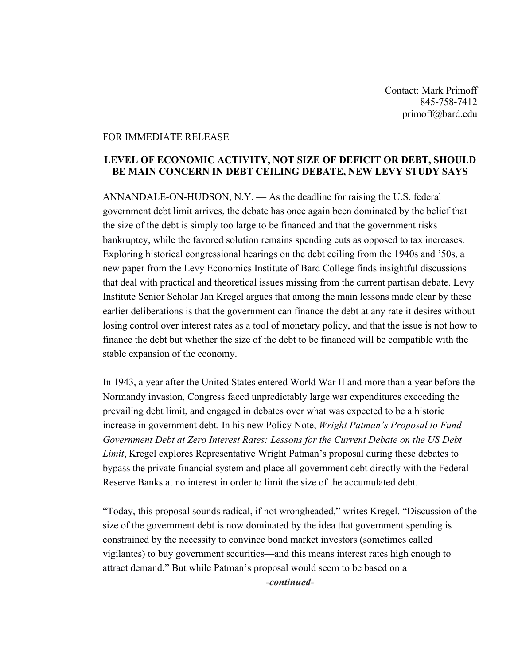Contact: Mark Primoff 845-758-7412 primoff@bard.edu

## FOR IMMEDIATE RELEASE

## **LEVEL OF ECONOMIC ACTIVITY, NOT SIZE OF DEFICIT OR DEBT, SHOULD BE MAIN CONCERN IN DEBT CEILING DEBATE, NEW LEVY STUDY SAYS**

ANNANDALE-ON-HUDSON, N.Y. — As the deadline for raising the U.S. federal government debt limit arrives, the debate has once again been dominated by the belief that the size of the debt is simply too large to be financed and that the government risks bankruptcy, while the favored solution remains spending cuts as opposed to tax increases. Exploring historical congressional hearings on the debt ceiling from the 1940s and '50s, a new paper from the Levy Economics Institute of Bard College finds insightful discussions that deal with practical and theoretical issues missing from the current partisan debate. Levy Institute Senior Scholar Jan Kregel argues that among the main lessons made clear by these earlier deliberations is that the government can finance the debt at any rate it desires without losing control over interest rates as a tool of monetary policy, and that the issue is not how to finance the debt but whether the size of the debt to be financed will be compatible with the stable expansion of the economy.

In 1943, a year after the United States entered World War II and more than a year before the Normandy invasion, Congress faced unpredictably large war expenditures exceeding the prevailing debt limit, and engaged in debates over what was expected to be a historic increase in government debt. In his new Policy Note, *Wright Patman's Proposal to Fund Government Debt at Zero Interest Rates: Lessons for the Current Debate on the US Debt Limit*, Kregel explores Representative Wright Patman's proposal during these debates to bypass the private financial system and place all government debt directly with the Federal Reserve Banks at no interest in order to limit the size of the accumulated debt.

"Today, this proposal sounds radical, if not wrongheaded," writes Kregel. "Discussion of the size of the government debt is now dominated by the idea that government spending is constrained by the necessity to convince bond market investors (sometimes called vigilantes) to buy government securities—and this means interest rates high enough to attract demand." But while Patman's proposal would seem to be based on a

*-continued-*